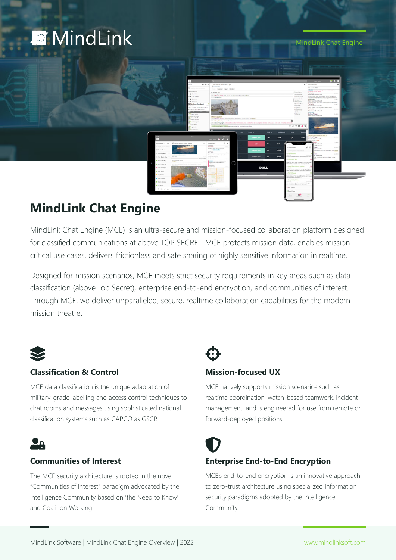# **E** MindLink

MindLink Chat Engine



### **MindLink Chat Engine**

MindLink Chat Engine (MCE) is an ultra-secure and mission-focused collaboration platform designed for classified communications at above TOP SECRET. MCE protects mission data, enables missioncritical use cases, delivers frictionless and safe sharing of highly sensitive information in realtime.

Designed for mission scenarios, MCE meets strict security requirements in key areas such as data classification (above Top Secret), enterprise end-to-end encryption, and communities of interest. Through MCE, we deliver unparalleled, secure, realtime collaboration capabilities for the modern mission theatre.



### **Classification & Control**

MCE data classification is the unique adaptation of military-grade labelling and access control techniques to chat rooms and messages using sophisticated national classification systems such as CAPCO as GSCP.

## La

### **Communities of Interest**

The MCE security architecture is rooted in the novel "Communities of Interest" paradigm advocated by the Intelligence Community based on 'the Need to Know' and Coalition Working.

### **Mission-focused UX**

MCE natively supports mission scenarios such as realtime coordination, watch-based teamwork, incident management, and is engineered for use from remote or forward-deployed positions.

### **Enterprise End-to-End Encryption**

MCE's end-to-end encryption is an innovative approach to zero-trust architecture using specialized information security paradigms adopted by the Intelligence Community.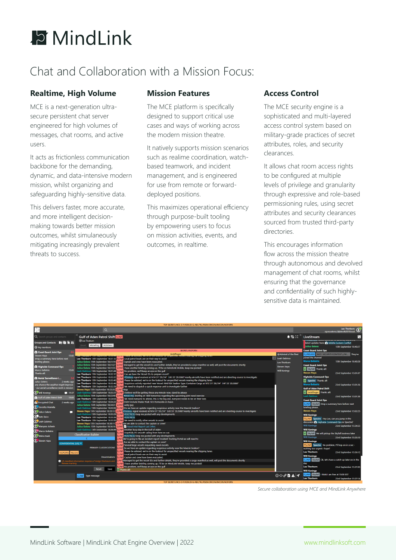

### Chat and Collaboration with a Mission Focus:

### **Realtime, High Volume**

MCE is a next-generation ultrasecure persistent chat server engineered for high volumes of messages, chat rooms, and active users.

It acts as frictionless communication backbone for the demanding, dynamic, and data-intensive modern mission, whilst organizing and safeguarding highly-sensitive data.

This delivers faster, more accurate, and more intelligent decisionmaking towards better mission outcomes, whilst simulaneously mitigating increasingly prevalent threats to success.

### **Mission Features**

The MCE platform is specifically designed to support critical use cases and ways of working across the modern mission theatre.

It natively supports mission scenarios such as realime coordination, watchbased teamwork, and incident management, and is engineered for use from remote or forwarddeployed positions.

This maximizes operational efficiency through purpose-built tooling by empowering users to focus on mission activities, events, and outcomes, in realtime.

### **Access Control**

The MCE security engine is a sophisticated and multi-layered access control system based on military-grade practices of secret attributes, roles, and security clearances.

It allows chat room access rights to be configured at multiple levels of privilege and granularity through expressive and role-based permissioning rules, using secret attributes and security clearances sourced from trusted third-party directories.

This encourages information flow across the mission theatre through autonomous and devolved management of chat rooms, whilst ensuring that the governance and confidentiality of such highlysensitive data is maintained.

| TOP SECRET//HCS-O-P/KDK/SI-G-ABC/TK//RSEN/ORCON/IMCON/NOFORN                                                                                                                                                                                                                                                                                                                                                                                                                                                                                                                                         |                                                                                                                  |                                                                                                                                                                                                                                                                                                                                                                                                                                                                                                                                                                                                                                                                                                                                                                                                                                                                                                                                                                                                                                                                                                                                                                                       |                                                                                                                                                                                                                                                                                                                                                                                                                                                                                                                                                                                                                                                                                                                                                                                                                                                                                                                                                                                                                                                                                                                                                                                                                                                                                                                                                                                                                                                                                                                                                                                                                                                                                                                                                                                                                                                                                                                                                                                                                                                                                                                                                                                                                                                                                                                                                                                                                                                                                                                                                                                                                                                                |                                                                                                    |                                                                                                                                                                                                                                                                                                                                                                                                                                                                                                                                                                                                                                                                                                                                                                                                                                                                                                                                                                                          |                                                                                                                                                                                                                      |
|------------------------------------------------------------------------------------------------------------------------------------------------------------------------------------------------------------------------------------------------------------------------------------------------------------------------------------------------------------------------------------------------------------------------------------------------------------------------------------------------------------------------------------------------------------------------------------------------------|------------------------------------------------------------------------------------------------------------------|---------------------------------------------------------------------------------------------------------------------------------------------------------------------------------------------------------------------------------------------------------------------------------------------------------------------------------------------------------------------------------------------------------------------------------------------------------------------------------------------------------------------------------------------------------------------------------------------------------------------------------------------------------------------------------------------------------------------------------------------------------------------------------------------------------------------------------------------------------------------------------------------------------------------------------------------------------------------------------------------------------------------------------------------------------------------------------------------------------------------------------------------------------------------------------------|----------------------------------------------------------------------------------------------------------------------------------------------------------------------------------------------------------------------------------------------------------------------------------------------------------------------------------------------------------------------------------------------------------------------------------------------------------------------------------------------------------------------------------------------------------------------------------------------------------------------------------------------------------------------------------------------------------------------------------------------------------------------------------------------------------------------------------------------------------------------------------------------------------------------------------------------------------------------------------------------------------------------------------------------------------------------------------------------------------------------------------------------------------------------------------------------------------------------------------------------------------------------------------------------------------------------------------------------------------------------------------------------------------------------------------------------------------------------------------------------------------------------------------------------------------------------------------------------------------------------------------------------------------------------------------------------------------------------------------------------------------------------------------------------------------------------------------------------------------------------------------------------------------------------------------------------------------------------------------------------------------------------------------------------------------------------------------------------------------------------------------------------------------------------------------------------------------------------------------------------------------------------------------------------------------------------------------------------------------------------------------------------------------------------------------------------------------------------------------------------------------------------------------------------------------------------------------------------------------------------------------------------------------------|----------------------------------------------------------------------------------------------------|------------------------------------------------------------------------------------------------------------------------------------------------------------------------------------------------------------------------------------------------------------------------------------------------------------------------------------------------------------------------------------------------------------------------------------------------------------------------------------------------------------------------------------------------------------------------------------------------------------------------------------------------------------------------------------------------------------------------------------------------------------------------------------------------------------------------------------------------------------------------------------------------------------------------------------------------------------------------------------------|----------------------------------------------------------------------------------------------------------------------------------------------------------------------------------------------------------------------|
| ाज                                                                                                                                                                                                                                                                                                                                                                                                                                                                                                                                                                                                   |                                                                                                                  | $\alpha$                                                                                                                                                                                                                                                                                                                                                                                                                                                                                                                                                                                                                                                                                                                                                                                                                                                                                                                                                                                                                                                                                                                                                                              |                                                                                                                                                                                                                                                                                                                                                                                                                                                                                                                                                                                                                                                                                                                                                                                                                                                                                                                                                                                                                                                                                                                                                                                                                                                                                                                                                                                                                                                                                                                                                                                                                                                                                                                                                                                                                                                                                                                                                                                                                                                                                                                                                                                                                                                                                                                                                                                                                                                                                                                                                                                                                                                                |                                                                                                    |                                                                                                                                                                                                                                                                                                                                                                                                                                                                                                                                                                                                                                                                                                                                                                                                                                                                                                                                                                                          | Lee Thorburn<br>sio:mcedemo.2@devsfb2019.local                                                                                                                                                                       |
| Q Search groups and contacts                                                                                                                                                                                                                                                                                                                                                                                                                                                                                                                                                                         |                                                                                                                  | <b>Gulf of Aden Patrol Shift S//NF</b>                                                                                                                                                                                                                                                                                                                                                                                                                                                                                                                                                                                                                                                                                                                                                                                                                                                                                                                                                                                                                                                                                                                                                |                                                                                                                                                                                                                                                                                                                                                                                                                                                                                                                                                                                                                                                                                                                                                                                                                                                                                                                                                                                                                                                                                                                                                                                                                                                                                                                                                                                                                                                                                                                                                                                                                                                                                                                                                                                                                                                                                                                                                                                                                                                                                                                                                                                                                                                                                                                                                                                                                                                                                                                                                                                                                                                                | ▲ 贴 30 。                                                                                           | LiveStream                                                                                                                                                                                                                                                                                                                                                                                                                                                                                                                                                                                                                                                                                                                                                                                                                                                                                                                                                                               |                                                                                                                                                                                                                      |
| Groups and Contacts <b>&amp; B B</b><br>@ My mentions                                                                                                                                                                                                                                                                                                                                                                                                                                                                                                                                                |                                                                                                                  | @ Lee Thorburn<br>#briefing #distress                                                                                                                                                                                                                                                                                                                                                                                                                                                                                                                                                                                                                                                                                                                                                                                                                                                                                                                                                                                                                                                                                                                                                 |                                                                                                                                                                                                                                                                                                                                                                                                                                                                                                                                                                                                                                                                                                                                                                                                                                                                                                                                                                                                                                                                                                                                                                                                                                                                                                                                                                                                                                                                                                                                                                                                                                                                                                                                                                                                                                                                                                                                                                                                                                                                                                                                                                                                                                                                                                                                                                                                                                                                                                                                                                                                                                                                |                                                                                                    | latest updates here: <a> Middle Eastern Conflict<br/><b>Julius Gelens</b></a>                                                                                                                                                                                                                                                                                                                                                                                                                                                                                                                                                                                                                                                                                                                                                                                                                                                                                                            | 15th September 18:40:27                                                                                                                                                                                              |
| Coast Guard Joint Ops<br><b>Steven Haya</b><br>Drop a summary here before next<br>briefing please.<br><b>A</b> Highside Command Ops<br><b>Marco Bellatrix</b><br>Thanks all!<br>A Aerial Surveillance L<br><b>Julius Gelens</b><br>any chance the weather might improve<br>- our aerial surveillance work is mission<br><b>Q</b> Will Konings<br><b>A</b> Gulf of Aden Patrol Shift<br><b>Ex</b> Encrypted Chat<br><b>C</b> Dorothy Mariella<br><b>Q</b> ulius Gelens<br>Co Kate Baics<br>Leah Gabinus<br>(2, Manyara Ashwin<br><b>2</b> , Marco Bellatrix<br><sup>2</sup> Melva Baak<br>Steven Haya | 15:02<br>15:01<br>2 weeks ago<br>15:01<br>2 weeks ago<br>п<br><b>CONFIDENTIAL (US) X</b><br><b>NOFORN</b> RELIDO | Lee Thorburn 15th September 18:31:12<br>Julius Gelens 15th September 18:31:19 S//N<br>Julius Gelens 15th September 18:31:27 S//N<br>Julius Gelens 15th September 18:31:35 S//NI<br>Leah Gabinus 15th September 18:31:44<br>Lee Thorburn 15th September 18:32:12<br>Lee Thorburn 15th September 18:32:32<br>Lee Thorburn 15th September 18:32:40<br>Lee Thorburn 15th September 18:32:46<br>Lee Thorburn 15th September 18:32:59<br>Steven Hava 15th September 18:33:26 S//N<br>15:37 Leah Gabinus 15th September 18:33:31 S//NF<br>Julius Gelens 15th September 18:33:40 S//N<br>Lee Thorburn 15th September 18:34:06<br>Leah Gabinus 15th September 18:34:22 S//NF<br>Julius Gelens 15th September 18:34:31 S//N<br>Leah Gabinus 15th September 18:34:56 S//NF<br>Steven Haya 15th September 18:35:13<br>Leah Gabinus 15th September 18:35:28<br>Lee Thorburn 15th September 18:35:36<br>Lee Thorburn 15th September 18:35:50<br>Steven Haya 15th September 18:36:11 S//N<br>Julius Gelens 15th September 18:36:16 S//N<br><b>Classification Builder</b><br>PRIMARY CLASSIFICATIONS<br><b>Disseminations</b><br><b>O</b> US classified information requires a Foreign Disclosure and | <b>SECRET//NOFORN</b><br>Goldfinger<br><b>IN THE REPORT OF A REPORT OF A POWERFUL AT INVARIANT AND RELATED THE REPORT OF A REPORT OF A REPORT OF A REPORT</b><br>Local patrol boats are on their way to assist<br>Captain and crew have been evacuated.<br>Managed to get the vessel IDs and further details, they've provided a cargo manifest as well, will post the documents shortly<br>I have another briefing coming up, I'll be on MindLink Mobile, keep me posted!<br>No problem, we'll keep an eve on the gulf<br>S//NF<br>Can we have the Vessel IDs to prepare escort?<br>S//NI<br>#Distress signal received at N14 31' 59.214" E45 55' 20.5068"nearby aircrafts have been notified and are diverting course to investigate<br>Please be advised, we're on the lookout for unspecified vessels nearing the shipping lanes<br>Suspicious activity reported near Vessel: MAERSK Sealion Type: Container Cargo at N12 31' 59.214" E47 55' 20.5068"<br>We need to dispatch a quick response unit to investigate further<br>l Yeap<br>I believe we'll be getting those any minute now, stand by please<br>#BRIEFING Briefing at 1600 tomorrow regarding the upcoming joint naval exercise<br>We need everyone to attend, this is the big one, everyone needs to be on their toes<br>Didnt include Madar Niak He's homeside on leave<br>Lucky guy<br>Do we have an update regarding suspicious activity near the Maersk Sealion?<br>#Distress signal received at N14 31' 59.214" E45 55' 20.5068"nearby aircrafts have been notified and are diverting course to investigate<br>#DISTRESS Keep me posted with any developments<br>S//NF<br><b>#DISTRESS</b><br>We need to notify other vessels to assist<br>Are we able to contact the captain or crew?<br>Naval Intel Report Last 24hrs<br>Leah Gabinus 15th September 18:36:44 S//NF Another busy day in the Gulf of Aden<br>Hopefully it's smooth sailing from here on out.<br>$\frac{1}{N}$<br>#DISTRESS Keep me posted with any developments<br>5//NF<br>We're going to file an incident report Incident Tracking Portal we will need to<br>Are we able to contact the captain or crew?<br>1/N<br>Several large vessels requesting naval escorts<br>5//NF<br>Do we have an update regarding suspicious activity near the Maersk Sealion?<br>$\sqrt{}$<br>Please be advised, we're on the lookout for unspecified vessels nearing the shipping lanes<br>S//NI<br>S//NF Local patrol boats are on their way to assist<br>Captain and crew have been evacuated.<br>S/N<br>Managed to get the vessel IDs and further details, they've provided a cargo manifest as well, will post the documents shortly | @Admiral of the fleet<br>Leah Gabinus<br>Lee Thorburn<br><b>Steven Hava</b><br><b>Will Konings</b> | <b>Coast Guard Joint Ops</b><br>C//RELIDO MCE-SECURITYCONTEXT://M They've<br>ioined the channel<br><b>Marco Bellatrix</b><br><b>Coast Guard Joint Ops</b><br>U Skyfall Thanks all!<br><b>Steven Haya</b><br><b>Highside Command Ops</b><br>U Spectre Thanks all!<br><b>Marco Bellatrix</b><br><b>Gulf of Aden Patrol Shift</b><br>U Goldfinger Thanks all!<br><b>Leah Gabinus</b><br><b>Coast Guard Joint Ops</b><br>C//NF Skyfall Drop a summary here before next<br>briefing please.<br><b>Steven Hava</b><br><b>Will Koninas</b><br>TS//NE Spectre Hey Lee, can you jump in the<br>discussion <b>A</b> Highside Command Ops re Spectre?<br><b>Will Koninas</b><br><b>Will Konings</b><br>U Skyfall We will pickup the Skyfall business later<br><b>Will Konings</b><br><b>Will Konings</b><br>TS//NF Spectre No problem, I'll hop on in a sec-<br>nothing too urgent I hope?<br><b>Lee Thorburn</b><br><b>Will Koninas</b><br>C//NF Skyfall Ok, let's have a catch-up later on in the | 15th September 18:40:28<br>23rd September 15:01:07<br>23rd September 15:01:26<br>23rd September 15:01:38<br>23rd September 15:02:25<br>23rd September 15:34:53<br>23rd September 15:35:10<br>23rd September 15:36:12 |
|                                                                                                                                                                                                                                                                                                                                                                                                                                                                                                                                                                                                      | Hease marking                                                                                                    | Reset<br>Save                                                                                                                                                                                                                                                                                                                                                                                                                                                                                                                                                                                                                                                                                                                                                                                                                                                                                                                                                                                                                                                                                                                                                                         | ME I have another briefing coming up, I'll be on MindLink Mobile, keep me posted!<br>//NF No problem, we'll keep an eye on the gulf<br>U Thanks all!                                                                                                                                                                                                                                                                                                                                                                                                                                                                                                                                                                                                                                                                                                                                                                                                                                                                                                                                                                                                                                                                                                                                                                                                                                                                                                                                                                                                                                                                                                                                                                                                                                                                                                                                                                                                                                                                                                                                                                                                                                                                                                                                                                                                                                                                                                                                                                                                                                                                                                           |                                                                                                    | day<br><b>Lee Thorburn</b><br><b>Will Konings</b>                                                                                                                                                                                                                                                                                                                                                                                                                                                                                                                                                                                                                                                                                                                                                                                                                                                                                                                                        | 23rd September 15:37:05                                                                                                                                                                                              |
|                                                                                                                                                                                                                                                                                                                                                                                                                                                                                                                                                                                                      |                                                                                                                  | C//NF<br><b>Type message</b>                                                                                                                                                                                                                                                                                                                                                                                                                                                                                                                                                                                                                                                                                                                                                                                                                                                                                                                                                                                                                                                                                                                                                          |                                                                                                                                                                                                                                                                                                                                                                                                                                                                                                                                                                                                                                                                                                                                                                                                                                                                                                                                                                                                                                                                                                                                                                                                                                                                                                                                                                                                                                                                                                                                                                                                                                                                                                                                                                                                                                                                                                                                                                                                                                                                                                                                                                                                                                                                                                                                                                                                                                                                                                                                                                                                                                                                | $\odot$ $\odot$ $\oslash$ $\blacksquare$ $\blacksquare$ $\blacksquare$                             | Skyfall   I think I am free at 15:00 EST<br>C//NF<br><b>Lee Thorburn</b>                                                                                                                                                                                                                                                                                                                                                                                                                                                                                                                                                                                                                                                                                                                                                                                                                                                                                                                 | 23rd September 15:37:14                                                                                                                                                                                              |

*Secure collaboration using MCE and MindLink Anywhere*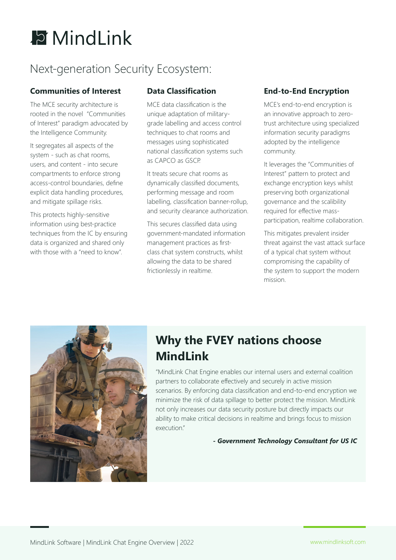

### Next-generation Security Ecosystem:

### **Communities of Interest**

The MCE security architecture is rooted in the novel "Communities of Interest" paradigm advocated by the Intelligence Community.

It segregates all aspects of the system - such as chat rooms, users, and content - into secure compartments to enforce strong access-control boundaries, define explicit data handling procedures, and mitigate spillage risks.

This protects highly-sensitive information using best-practice techniques from the IC by ensuring data is organized and shared only with those with a "need to know".

### **Data Classification**

MCE data classification is the unique adaptation of militarygrade labelling and access control techniques to chat rooms and messages using sophisticated national classification systems such as CAPCO as GSCP.

It treats secure chat rooms as dynamically classified documents, performing message and room labelling, classification banner-rollup, and security clearance authorization.

This secures classified data using government-mandated information management practices as firstclass chat system constructs, whilst allowing the data to be shared frictionlessly in realtime.

### **End-to-End Encryption**

MCE's end-to-end encryption is an innovative approach to zerotrust architecture using specialized information security paradigms adopted by the intelligence community.

It leverages the "Communities of Interest" pattern to protect and exchange encryption keys whilst preserving both organizational governance and the scalibility required for effective massparticipation, realtime collaboration.

This mitigates prevalent insider threat against the vast attack surface of a typical chat system without compromising the capability of the system to support the modern mission.



### **Why the FVEY nations choose MindLink**

"MindLink Chat Engine enables our internal users and external coalition partners to collaborate effectively and securely in active mission scenarios. By enforcing data classification and end-to-end encryption we minimize the risk of data spillage to better protect the mission. MindLink not only increases our data security posture but directly impacts our ability to make critical decisions in realtime and brings focus to mission execution"

*- Government Technology Consultant for US IC*